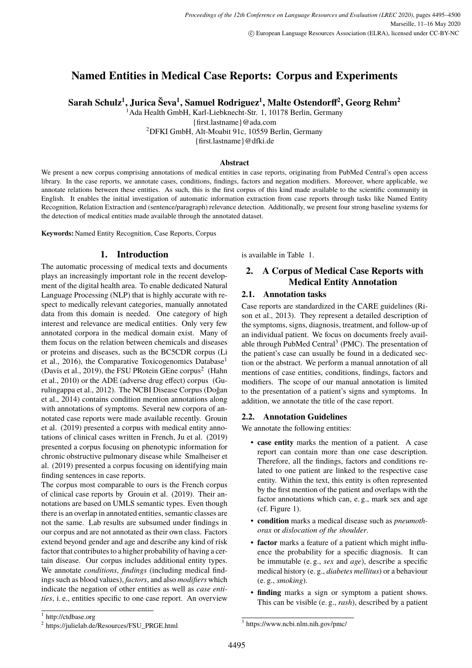# <span id="page-0-0"></span>**Named Entities in Medical Case Reports: Corpus and Experiments**

**Sarah Schulz<sup>1</sup> , Jurica Ševa<sup>1</sup> , Samuel Rodriguez<sup>1</sup> , Malte Ostendorff<sup>2</sup> , Georg Rehm<sup>2</sup>**

<sup>1</sup> Ada Health GmbH, Karl-Liebknecht-Str. 1, 10178 Berlin, Germany {first.lastname}@ada.com

<sup>2</sup>DFKI GmbH, Alt-Moabit 91c, 10559 Berlin, Germany

{first.lastname}@dfki.de

#### **Abstract**

We present a new corpus comprising annotations of medical entities in case reports, originating from PubMed Central's open access library. In the case reports, we annotate cases, conditions, findings, factors and negation modifiers. Moreover, where applicable, we annotate relations between these entities. As such, this is the first corpus of this kind made available to the scientific community in English. It enables the initial investigation of automatic information extraction from case reports through tasks like Named Entity Recognition, Relation Extraction and (sentence/paragraph) relevance detection. Additionally, we present four strong baseline systems for the detection of medical entities made available through the annotated dataset.

**Keywords:** Named Entity Recognition, Case Reports, Corpus

### **1. Introduction**

The automatic processing of medical texts and documents plays an increasingly important role in the recent development of the digital health area. To enable dedicated Natural Language Processing (NLP) that is highly accurate with respect to medically relevant categories, manually annotated data from this domain is needed. One category of high interest and relevance are medical entities. Only very few annotated corpora in the medical domain exist. Many of them focus on the relation between chemicals and diseases or proteins and diseases, such as the BC5CDR corpus (Li et al., 2016), the Comparative Toxicogenomics Database<sup>1</sup> (Davis et al., 2019), the FSU PRotein GEne corpus<sup>2</sup> (Hahn et al., 2010) or the ADE (adverse drug effect) corpus (Gurulingappa et al., 2012). The NCBI Disease Corpus (Doğan et al., 2014) contains condition mention annotations along with annotations of symptoms. Several new corpora of annotated case reports were made available recently. Grouin et al. (2019) presented a corpus with medical entity annotations of clinical cases written in French, Ju et al. (2019) presented a corpus focusing on phenotypic information for chronic obstructive pulmonary disease while Smalheiser et al. (2019) presented a corpus focusing on identifying main finding sentences in case reports.

The corpus most comparable to ours is the French corpus of clinical case reports by Grouin et al. (2019). Their annotations are based on UMLS semantic types. Even though there is an overlap in annotated entities, semantic classes are not the same. Lab results are subsumed under findings in our corpus and are not annotated as their own class. Factors extend beyond gender and age and describe any kind of risk factor that contributes to a higher probability of having a certain disease. Our corpus includes additional entity types. We annotate *conditions*, *findings* (including medical findings such as blood values), *factors*, and also *modifiers* which indicate the negation of other entities as well as *case entities*, i. e., entities specific to one case report. An overview

is available in Table [1.](#page-1-0)

## **2. A Corpus of Medical Case Reports with Medical Entity Annotation**

### **2.1. Annotation tasks**

Case reports are standardized in the CARE guidelines (Rison et al., 2013). They represent a detailed description of the symptoms, signs, diagnosis, treatment, and follow-up of an individual patient. We focus on documents freely available through PubMed Central<sup>3</sup> (PMC). The presentation of the patient's case can usually be found in a dedicated section or the abstract. We perform a manual annotation of all mentions of case entities, conditions, findings, factors and modifiers. The scope of our manual annotation is limited to the presentation of a patient's signs and symptoms. In addition, we annotate the title of the case report.

### <span id="page-0-1"></span>**2.2. Annotation Guidelines**

We annotate the following entities:

- **case entity** marks the mention of a patient. A case report can contain more than one case description. Therefore, all the findings, factors and conditions related to one patient are linked to the respective case entity. Within the text, this entity is often represented by the first mention of the patient and overlaps with the factor annotations which can, e. g., mark sex and age (cf. Figure [1\)](#page-1-1).
- **condition** marks a medical disease such as *pneumothorax* or *dislocation of the shoulder*.
- **factor** marks a feature of a patient which might influence the probability for a specific diagnosis. It can be immutable (e. g., *sex* and *age*), describe a specific medical history (e. g., *diabetes mellitus*) or a behaviour (e. g., *smoking*).
- **finding** marks a sign or symptom a patient shows. This can be visible (e. g., *rash*), described by a patient

<sup>1</sup> <http://ctdbase.org>

<sup>&</sup>lt;sup>2</sup> [https://julielab.de/Resources/FSU\\_PRGE.html](https://julielab.de/Resources/FSU_PRGE.html)

<sup>3</sup> https://www.ncbi.nlm.nih.gov/pmc/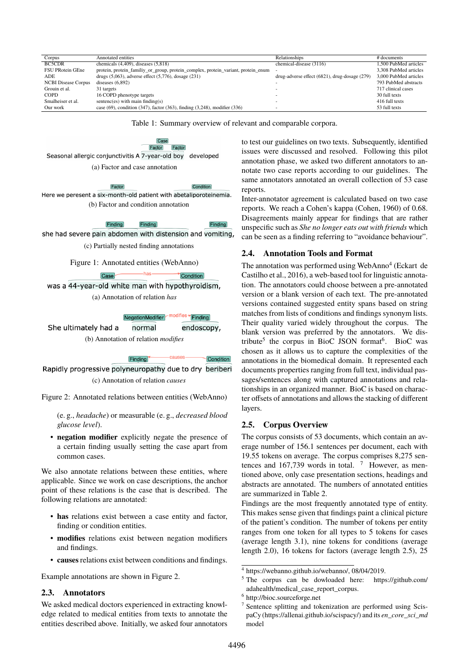<span id="page-1-0"></span>

| Annotated entities                                                                      | Relationships                                 | # documents           |
|-----------------------------------------------------------------------------------------|-----------------------------------------------|-----------------------|
| chemicals $(4,409)$ , diseases $(5,818)$                                                | chemical-disease (3116)                       | 1.500 PubMed articles |
| protein, protein_familiy_or_group, protein_complex, protein_variant, protein_enum       |                                               | 3.308 PubMed articles |
| drugs $(5,063)$ , adverse effect $(5,776)$ , dosage $(231)$                             | drug-adverse effect (6821), drug-dosage (279) | 3,000 PubMed articles |
| diseases $(6,892)$                                                                      |                                               | 793 PubMed abstracts  |
| 31 targets                                                                              |                                               | 717 clinical cases    |
| 16 COPD phenotype targets                                                               |                                               | 30 full texts         |
| sentenc(es) with main finding(s)                                                        |                                               | 416 full texts        |
| case $(69)$ , condition $(347)$ , factor $(363)$ , finding $(3,248)$ , modifier $(336)$ |                                               | 53 full texts         |
|                                                                                         |                                               |                       |

Table 1: Summary overview of relevant and comparable corpora.

<span id="page-1-3"></span><span id="page-1-1"></span>Case Factor Factor Seasonal allergic conjunctivitis A 7-year-old boy developed (a) Factor and case annotation

Factor Condition Here we peresent a six-month-old patient with abetaliporoteinemia. (b) Factor and condition annotation

> Finding Finding  $Findina$

> > Condition

<span id="page-1-4"></span>she had severe pain abdomen with distension and vomiting,

(c) Partially nested finding annotations

-has-

Figure 1: Annotated entities (WebAnno)

<span id="page-1-2"></span>was a 44-year-old white man with hypothyroidism, (a) Annotation of relation *has*

 $\overline{\text{Case}}$ 

NegationModifier modifies Trinding

She ultimately had a normal endoscopy, (b) Annotation of relation *modifies*

Finding Condition Rapidly progressive polyneuropathy due to dry beriberi (c) Annotation of relation *causes*

Figure 2: Annotated relations between entities (WebAnno)

(e. g., *headache*) or measurable (e. g., *decreased blood glucose level*).

• **negation modifier** explicitly negate the presence of a certain finding usually setting the case apart from common cases.

We also annotate relations between these entities, where applicable. Since we work on case descriptions, the anchor point of these relations is the case that is described. The following relations are annotated:

- **has** relations exist between a case entity and factor, finding or condition entities.
- **modifies** relations exist between negation modifiers and findings.
- **causes** relations exist between conditions and findings.

Example annotations are shown in Figure [2.](#page-1-2)

#### **2.3. Annotators**

We asked medical doctors experienced in extracting knowledge related to medical entities from texts to annotate the entities described above. Initially, we asked four annotators to test our guidelines on two texts. Subsequently, identified issues were discussed and resolved. Following this pilot annotation phase, we asked two different annotators to annotate two case reports according to our guidelines. The same annotators annotated an overall collection of 53 case reports.

Inter-annotator agreement is calculated based on two case reports. We reach a Cohen's kappa [\(Cohen, 1960\)](#page-0-0) of 0.68. Disagreements mainly appear for findings that are rather unspecific such as *She no longer eats out with friends* which can be seen as a finding referring to "avoidance behaviour".

#### **2.4. Annotation Tools and Format**

The annotation was performed using WebAnno<sup>[4](#page-0-0)</sup> [\(Eckart de](#page-0-0) [Castilho et al., 2016\)](#page-0-0), a web-based tool for linguistic annotation. The annotators could choose between a pre-annotated version or a blank version of each text. The pre-annotated versions contained suggested entity spans based on string matches from lists of conditions and findings synonym lists. Their quality varied widely throughout the corpus. The blank version was preferred by the annotators. We dis-tribute<sup>[5](#page-0-0)</sup> the corpus in BioC JSON format<sup>[6](#page-0-0)</sup>. BioC was chosen as it allows us to capture the complexities of the annotations in the biomedical domain. It represented each documents properties ranging from full text, individual passages/sentences along with captured annotations and relationships in an organized manner. BioC is based on character offsets of annotations and allows the stacking of different layers.

#### **2.5. Corpus Overview**

The corpus consists of 53 documents, which contain an average number of 156.1 sentences per document, each with 19.55 tokens on average. The corpus comprises 8,275 sen-tences and 16[7](#page-0-0),739 words in total.  $7 \text{ However, as men-}$ tioned above, only case presentation sections, headings and abstracts are annotated. The numbers of annotated entities are summarized in Table [2.](#page-2-0)

Findings are the most frequently annotated type of entity. This makes sense given that findings paint a clinical picture of the patient's condition. The number of tokens per entity ranges from one token for all types to 5 tokens for cases (average length 3.1), nine tokens for conditions (average length 2.0), 16 tokens for factors (average length 2.5), 25

<sup>4</sup> [https://webanno.github.io/webanno/,](https://webanno.github.io/webanno/) 08/04/2019.

<sup>5</sup> The corpus can be dowloaded here: [https://github.com/](https://github.com/adahealth/medical_case_report_corpus) [adahealth/medical\\_case\\_report\\_corpus.](https://github.com/adahealth/medical_case_report_corpus)

<sup>6</sup> <http://bioc.sourceforge.net>

<sup>7</sup> Sentence splitting and tokenization are performed using ScispaCy [\(https://allenai.github.io/scispacy/\)](https://allenai.github.io/scispacy/) and its *en\_core\_sci\_md* model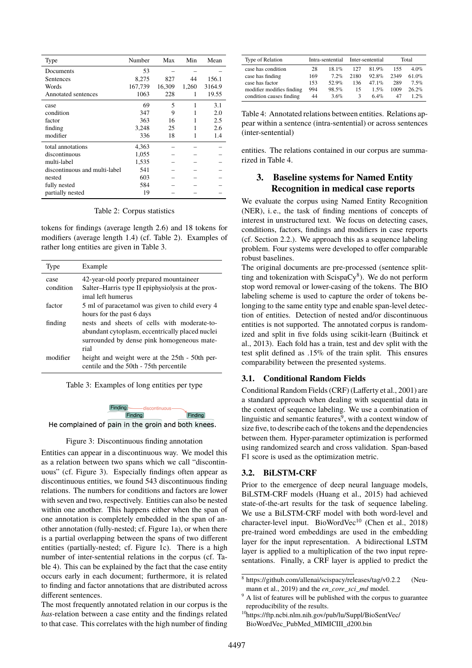<span id="page-2-0"></span>

| Type                          | Number  | Max    | Min   | Mean   |
|-------------------------------|---------|--------|-------|--------|
| Documents                     | 53      |        |       |        |
| Sentences                     | 8,275   | 827    | 44    | 156.1  |
| Words                         | 167,739 | 16,309 | 1,260 | 3164.9 |
| <b>Annotated sentences</b>    | 1063    | 228    | 1     | 19.55  |
| case                          | 69      | 5      | 1     | 3.1    |
| condition                     | 347     | 9      |       | 2.0    |
| factor                        | 363     | 16     |       | 2.5    |
| finding                       | 3,248   | 25     |       | 2.6    |
| modifier                      | 336     | 18     |       | 1.4    |
| total annotations             | 4,363   |        |       |        |
| discontinuous                 | 1,055   |        |       |        |
| multi-label                   | 1,535   |        |       |        |
| discontinuous and multi-label | 541     |        |       |        |
| nested                        | 603     |        |       |        |
| fully nested                  | 584     |        |       |        |
| partially nested              | 19      |        |       |        |

Table 2: Corpus statistics

tokens for findings (average length 2.6) and 18 tokens for modifiers (average length 1.4) (cf. Table [2\)](#page-2-0). Examples of rather long entities are given in Table [3.](#page-2-1)

<span id="page-2-1"></span>

| Type      | Example                                                                                  |
|-----------|------------------------------------------------------------------------------------------|
| case      | 42-year-old poorly prepared mountaineer                                                  |
| condition | Salter–Harris type II epiphysiolysis at the prox-                                        |
|           | imal left humerus                                                                        |
| factor    | 5 ml of paracetamol was given to child every 4                                           |
|           | hours for the past 6 days                                                                |
| finding   | nests and sheets of cells with moderate-to-                                              |
|           | abundant cytoplasm, eccentrically placed nuclei                                          |
|           | surrounded by dense pink homogeneous mate-                                               |
|           | rial                                                                                     |
| modifier  | height and weight were at the 25th - 50th per-<br>centile and the 50th - 75th percentile |

Table 3: Examples of long entities per type



<span id="page-2-2"></span>He complained of pain in the groin and both knees.

#### Figure 3: Discontinuous finding annotation

Entities can appear in a discontinuous way. We model this as a relation between two spans which we call "discontinuous" (cf. Figure [3\)](#page-2-2). Especially findings often appear as discontinuous entities, we found 543 discontinuous finding relations. The numbers for conditions and factors are lower with seven and two, respectively. Entities can also be nested within one another. This happens either when the span of one annotation is completely embedded in the span of another annotation (fully-nested; cf. Figure [1a\)](#page-1-3), or when there is a partial overlapping between the spans of two different entities (partially-nested; cf. Figure [1c\)](#page-1-4). There is a high number of inter-sentential relations in the corpus (cf. Table [4\)](#page-2-3). This can be explained by the fact that the case entity occurs early in each document; furthermore, it is related to finding and factor annotations that are distributed across different sentences.

The most frequently annotated relation in our corpus is the *has*-relation between a case entity and the findings related to that case. This correlates with the high number of finding

<span id="page-2-3"></span>

| Type of Relation          |     | Intra-sentential |      | Inter-sentential | Total |          |  |
|---------------------------|-----|------------------|------|------------------|-------|----------|--|
| case has condition        | 28  | $18.1\%$         | 127  | $81.9\%$         | 155   | $4.0\%$  |  |
| case has finding          | 169 | $7.2\%$          | 2180 | $92.8\%$         | 2349  | $61.0\%$ |  |
| case has factor           | 153 | 52.9%            | 136  | 47 $1\%$         | 289   | $7.5\%$  |  |
| modifier modifies finding | 994 | $98.5\%$         | 15   | $1.5\%$          | 1009  | 26.2%    |  |
| condition causes finding  | 44  | $3.6\%$          | 3    | 6.4%             | 47    | $1.2\%$  |  |

Table 4: Annotated relations between entities. Relations appear within a sentence (intra-sentential) or across sentences (inter-sentential)

entities. The relations contained in our corpus are summarized in Table [4.](#page-2-3)

#### **3. Baseline systems for Named Entity Recognition in medical case reports**

We evaluate the corpus using Named Entity Recognition (NER), i. e., the task of finding mentions of concepts of interest in unstructured text. We focus on detecting cases, conditions, factors, findings and modifiers in case reports (cf. Section [2.2.\)](#page-0-1). We approach this as a sequence labeling problem. Four systems were developed to offer comparable robust baselines.

The original documents are pre-processed (sentence splitting and tokenization with  $ScispaCy^{8}$  $ScispaCy^{8}$  $ScispaCy^{8}$ ). We do not perform stop word removal or lower-casing of the tokens. The BIO labeling scheme is used to capture the order of tokens belonging to the same entity type and enable span-level detection of entities. Detection of nested and/or discontinuous entities is not supported. The annotated corpus is randomized and split in five folds using scikit-learn [\(Buitinck et](#page-0-0) [al., 2013\)](#page-0-0). Each fold has a train, test and dev split with the test split defined as .15% of the train split. This ensures comparability between the presented systems.

#### **3.1. Conditional Random Fields**

Conditional Random Fields (CRF) [\(Lafferty et al., 2001\)](#page-0-0) are a standard approach when dealing with sequential data in the context of sequence labeling. We use a combination of linguistic and semantic features<sup>[9](#page-0-0)</sup>, with a context window of size five, to describe each of the tokens and the dependencies between them. Hyper-parameter optimization is performed using randomized search and cross validation. Span-based F1 score is used as the optimization metric.

#### <span id="page-2-4"></span>**3.2. BiLSTM-CRF**

Prior to the emergence of deep neural language models, BiLSTM-CRF models [\(Huang et al., 2015\)](#page-0-0) had achieved state-of-the-art results for the task of sequence labeling. We use a BiLSTM-CRF model with both word-level and character-level input. BioWordVec<sup>[10](#page-0-0)</sup> [\(Chen et al., 2018\)](#page-0-0) pre-trained word embeddings are used in the embedding layer for the input representation. A bidirectional LSTM layer is applied to a multiplication of the two input representations. Finally, a CRF layer is applied to predict the

<sup>8</sup> <https://github.com/allenai/scispacy/releases/tag/v0.2.2> [\(Neu](#page-0-0)[mann et al., 2019\)](#page-0-0) and the *en\_core\_sci\_md* model.

 $\frac{1}{9}$  A list of features will be published with the corpus to guarantee reproducibility of the results.

<sup>10</sup>[https://ftp.ncbi.nlm.nih.gov/pub/lu/Suppl/BioSentVec/](https://ftp.ncbi.nlm.nih.gov/pub/lu/Suppl/BioSentVec/BioWordVec_PubMed_MIMICIII_d200.bin) [BioWordVec\\_PubMed\\_MIMICIII\\_d200.bin](https://ftp.ncbi.nlm.nih.gov/pub/lu/Suppl/BioSentVec/BioWordVec_PubMed_MIMICIII_d200.bin)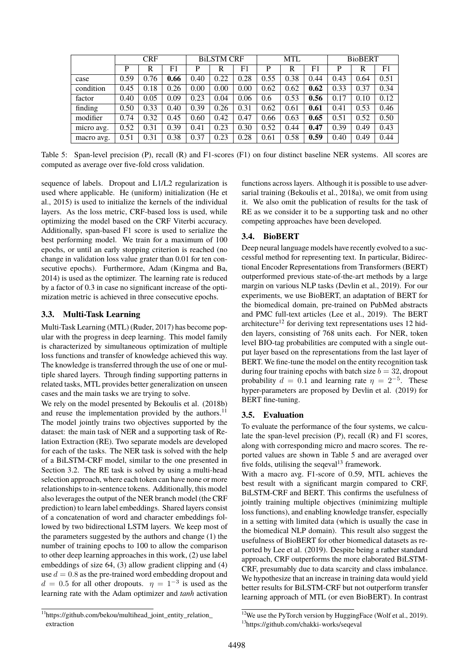<span id="page-3-0"></span>

|            | <b>CRF</b> |      |                | <b>BILSTM CRF</b> |      |      | <b>MTL</b> |      |      | <b>BioBERT</b> |      |      |
|------------|------------|------|----------------|-------------------|------|------|------------|------|------|----------------|------|------|
|            | P          | R    | F <sub>1</sub> | P                 | R    | F1   | P          | R    | F1   | P              | R    | F1   |
| case       | 0.59       | 0.76 | 0.66           | 0.40              | 0.22 | 0.28 | 0.55       | 0.38 | 0.44 | 0.43           | 0.64 | 0.51 |
| condition  | 0.45       | 0.18 | 0.26           | 0.00              | 0.00 | 0.00 | 0.62       | 0.62 | 0.62 | 0.33           | 0.37 | 0.34 |
| factor     | 0.40       | 0.05 | 0.09           | 0.23              | 0.04 | 0.06 | 0.6        | 0.53 | 0.56 | 0.17           | 0.10 | 0.12 |
| finding    | 0.50       | 0.33 | 0.40           | 0.39              | 0.26 | 0.31 | 0.62       | 0.61 | 0.61 | 0.41           | 0.53 | 0.46 |
| modifier   | 0.74       | 0.32 | 0.45           | 0.60              | 0.42 | 0.47 | 0.66       | 0.63 | 0.65 | 0.51           | 0.52 | 0.50 |
| micro avg. | 0.52       | 0.31 | 0.39           | 0.41              | 0.23 | 0.30 | 0.52       | 0.44 | 0.47 | 0.39           | 0.49 | 0.43 |
| macro avg. | 0.51       | 0.31 | 0.38           | 0.37              | 0.23 | 0.28 | 0.61       | 0.58 | 0.59 | 0.40           | 0.49 | 0.44 |

Table 5: Span-level precision (P), recall (R) and F1-scores (F1) on four distinct baseline NER systems. All scores are computed as average over five-fold cross validation.

sequence of labels. Dropout and L1/L2 regularization is used where applicable. He (uniform) initialization [\(He et](#page-0-0) [al., 2015\)](#page-0-0) is used to initialize the kernels of the individual layers. As the loss metric, CRF-based loss is used, while optimizing the model based on the CRF Viterbi accuracy. Additionally, span-based F1 score is used to serialize the best performing model. We train for a maximum of 100 epochs, or until an early stopping criterion is reached (no change in validation loss value grater than 0.01 for ten consecutive epochs). Furthermore, Adam [\(Kingma and Ba,](#page-0-0) [2014\)](#page-0-0) is used as the optimizer. The learning rate is reduced by a factor of 0.3 in case no significant increase of the optimization metric is achieved in three consecutive epochs.

#### **3.3. Multi-Task Learning**

Multi-Task Learning (MTL) [\(Ruder, 2017\)](#page-0-0) has become popular with the progress in deep learning. This model family is characterized by simultaneous optimization of multiple loss functions and transfer of knowledge achieved this way. The knowledge is transferred through the use of one or multiple shared layers. Through finding supporting patterns in related tasks, MTL provides better generalization on unseen cases and the main tasks we are trying to solve.

We rely on the model presented by [Bekoulis et al. \(2018b\)](#page-0-0) and reuse the implementation provided by the authors. $^{11}$  $^{11}$  $^{11}$ The model jointly trains two objectives supported by the dataset: the main task of NER and a supporting task of Relation Extraction (RE). Two separate models are developed for each of the tasks. The NER task is solved with the help of a BiLSTM-CRF model, similar to the one presented in Section [3.2.](#page-2-4) The RE task is solved by using a multi-head selection approach, where each token can have none or more relationships to in-sentence tokens. Additionally, this model also leverages the output of the NER branch model (the CRF prediction) to learn label embeddings. Shared layers consist of a concatenation of word and character embeddings followed by two bidirectional LSTM layers. We keep most of the parameters suggested by the authors and change (1) the number of training epochs to 100 to allow the comparison to other deep learning approaches in this work, (2) use label embeddings of size 64, (3) allow gradient clipping and (4) use  $d = 0.8$  as the pre-trained word embedding dropout and  $d = 0.5$  for all other dropouts.  $\eta = 1^{-3}$  is used as the learning rate with the Adam optimizer and *tanh* activation

functions across layers. Although it is possible to use adversarial training [\(Bekoulis et al., 2018a\)](#page-0-0), we omit from using it. We also omit the publication of results for the task of RE as we consider it to be a supporting task and no other competing approaches have been developed.

### **3.4. BioBERT**

Deep neural language models have recently evolved to a successful method for representing text. In particular, Bidirectional Encoder Representations from Transformers (BERT) outperformed previous state-of-the-art methods by a large margin on various NLP tasks [\(Devlin et al., 2019\)](#page-0-0). For our experiments, we use BioBERT, an adaptation of BERT for the biomedical domain, pre-trained on PubMed abstracts and PMC full-text articles [\(Lee et al., 2019\)](#page-0-0). The BERT architecture<sup>[12](#page-0-0)</sup> for deriving text representations uses 12 hidden layers, consisting of 768 units each. For NER, token level BIO-tag probabilities are computed with a single output layer based on the representations from the last layer of BERT. We fine-tune the model on the entity recognition task during four training epochs with batch size  $b = 32$ , dropout probability  $d = 0.1$  and learning rate  $\eta = 2^{-5}$ . These hyper-parameters are proposed by [Devlin et al. \(2019\)](#page-0-0) for BERT fine-tuning.

### **3.5. Evaluation**

To evaluate the performance of the four systems, we calculate the span-level precision (P), recall (R) and F1 scores, along with corresponding micro and macro scores. The reported values are shown in Table [5](#page-3-0) and are averaged over five folds, utilising the seqeval<sup>[13](#page-0-0)</sup> framework.

With a macro avg. F1-score of 0.59, MTL achieves the best result with a significant margin compared to CRF, BiLSTM-CRF and BERT. This confirms the usefulness of jointly training multiple objectives (minimizing multiple loss functions), and enabling knowledge transfer, especially in a setting with limited data (which is usually the case in the biomedical NLP domain). This result also suggest the usefulness of BioBERT for other biomedical datasets as reported by [Lee et al. \(2019\)](#page-0-0). Despite being a rather standard approach, CRF outperforms the more elaborated BiLSTM-CRF, presumably due to data scarcity and class imbalance. We hypothesize that an increase in training data would yield better results for BiLSTM-CRF but not outperform transfer learning approach of MTL (or even BioBERT). In contrast

<sup>12</sup>We use the PyTorch version by HuggingFace [\(Wolf et al., 2019\)](#page-0-0).

<sup>13</sup><https://github.com/chakki-works/seqeval>

<sup>&</sup>lt;sup>11</sup>https://github.com/bekou/multihead\_joint\_entity\_relation [extraction](https://github.com/bekou/multihead_joint_entity_relation_extraction)

<sup>4498</sup>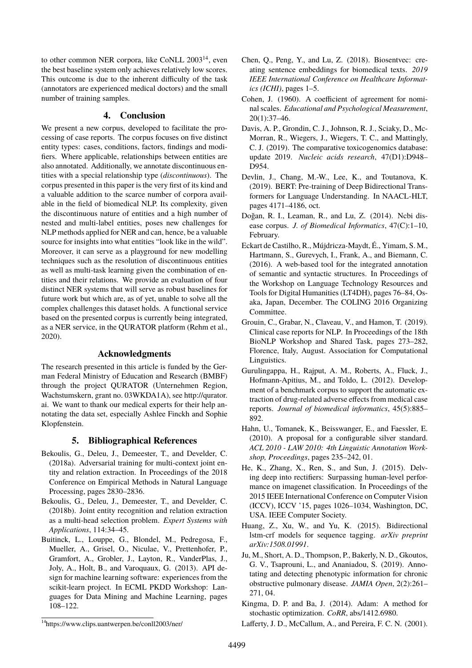to other common NER corpora, like CoNLL 2003<sup>[14](#page-0-0)</sup>, even the best baseline system only achieves relatively low scores. This outcome is due to the inherent difficulty of the task (annotators are experienced medical doctors) and the small number of training samples.

#### **4. Conclusion**

We present a new corpus, developed to facilitate the processing of case reports. The corpus focuses on five distinct entity types: cases, conditions, factors, findings and modifiers. Where applicable, relationships between entities are also annotated. Additionally, we annotate discontinuous entities with a special relationship type (*discontinuous*). The corpus presented in this paper is the very first of its kind and a valuable addition to the scarce number of corpora available in the field of biomedical NLP. Its complexity, given the discontinuous nature of entities and a high number of nested and multi-label entities, poses new challenges for NLP methods applied for NER and can, hence, be a valuable source for insights into what entities "look like in the wild". Moreover, it can serve as a playground for new modelling techniques such as the resolution of discontinuous entities as well as multi-task learning given the combination of entities and their relations. We provide an evaluation of four distinct NER systems that will serve as robust baselines for future work but which are, as of yet, unable to solve all the complex challenges this dataset holds. A functional service based on the presented corpus is currently being integrated, as a NER service, in the QURATOR platform [\(Rehm et al.,](#page-0-0) [2020\)](#page-0-0).

#### **Acknowledgments**

The research presented in this article is funded by the German Federal Ministry of Education and Research (BMBF) through the project QURATOR (Unternehmen Region, Wachstumskern, grant no. 03WKDA1A), see [http://qurator.](http://qurator.ai) [ai.](http://qurator.ai) We want to thank our medical experts for their help annotating the data set, especially Ashlee Finckh and Sophie Klopfenstein.

#### **5. Bibliographical References**

- Bekoulis, G., Deleu, J., Demeester, T., and Develder, C. (2018a). Adversarial training for multi-context joint entity and relation extraction. In Proceedings of the 2018 Conference on Empirical Methods in Natural Language Processing, pages 2830–2836.
- Bekoulis, G., Deleu, J., Demeester, T., and Develder, C. (2018b). Joint entity recognition and relation extraction as a multi-head selection problem. *Expert Systems with Applications*, 114:34–45.
- Buitinck, L., Louppe, G., Blondel, M., Pedregosa, F., Mueller, A., Grisel, O., Niculae, V., Prettenhofer, P., Gramfort, A., Grobler, J., Layton, R., VanderPlas, J., Joly, A., Holt, B., and Varoquaux, G. (2013). API design for machine learning software: experiences from the scikit-learn project. In ECML PKDD Workshop: Languages for Data Mining and Machine Learning, pages 108–122.
- Chen, Q., Peng, Y., and Lu, Z. (2018). Biosentvec: creating sentence embeddings for biomedical texts. *2019 IEEE International Conference on Healthcare Informatics (ICHI)*, pages 1–5.
- Cohen, J. (1960). A coefficient of agreement for nominal scales. *Educational and Psychological Measurement*, 20(1):37–46.
- Davis, A. P., Grondin, C. J., Johnson, R. J., Sciaky, D., Mc-Morran, R., Wiegers, J., Wiegers, T. C., and Mattingly, C. J. (2019). The comparative toxicogenomics database: update 2019. *Nucleic acids research*, 47(D1):D948– D954.
- Devlin, J., Chang, M.-W., Lee, K., and Toutanova, K. (2019). BERT: Pre-training of Deep Bidirectional Transformers for Language Understanding. In NAACL-HLT, pages 4171–4186, oct.
- Doğan, R. I., Leaman, R., and Lu, Z. (2014). Ncbi disease corpus. *J. of Biomedical Informatics*, 47(C):1–10, February.
- Eckart de Castilho, R., Mújdricza-Maydt, É., Yimam, S. M., Hartmann, S., Gurevych, I., Frank, A., and Biemann, C. (2016). A web-based tool for the integrated annotation of semantic and syntactic structures. In Proceedings of the Workshop on Language Technology Resources and Tools for Digital Humanities (LT4DH), pages 76–84, Osaka, Japan, December. The COLING 2016 Organizing Committee.
- Grouin, C., Grabar, N., Claveau, V., and Hamon, T. (2019). Clinical case reports for NLP. In Proceedings of the 18th BioNLP Workshop and Shared Task, pages 273–282, Florence, Italy, August. Association for Computational Linguistics.
- Gurulingappa, H., Rajput, A. M., Roberts, A., Fluck, J., Hofmann-Apitius, M., and Toldo, L. (2012). Development of a benchmark corpus to support the automatic extraction of drug-related adverse effects from medical case reports. *Journal of biomedical informatics*, 45(5):885– 892.
- Hahn, U., Tomanek, K., Beisswanger, E., and Faessler, E. (2010). A proposal for a configurable silver standard. *ACL 2010 - LAW 2010: 4th Linguistic Annotation Workshop, Proceedings*, pages 235–242, 01.
- He, K., Zhang, X., Ren, S., and Sun, J. (2015). Delving deep into rectifiers: Surpassing human-level performance on imagenet classification. In Proceedings of the 2015 IEEE International Conference on Computer Vision (ICCV), ICCV '15, pages 1026–1034, Washington, DC, USA. IEEE Computer Society.
- Huang, Z., Xu, W., and Yu, K. (2015). Bidirectional lstm-crf models for sequence tagging. *arXiv preprint arXiv:1508.01991*.
- Ju, M., Short, A. D., Thompson, P., Bakerly, N. D., Gkoutos, G. V., Tsaprouni, L., and Ananiadou, S. (2019). Annotating and detecting phenotypic information for chronic obstructive pulmonary disease. *JAMIA Open*, 2(2):261– 271, 04.
- Kingma, D. P. and Ba, J. (2014). Adam: A method for stochastic optimization. *CoRR*, abs/1412.6980.
- Lafferty, J. D., McCallum, A., and Pereira, F. C. N. (2001).

<sup>14</sup><https://www.clips.uantwerpen.be/conll2003/ner/>